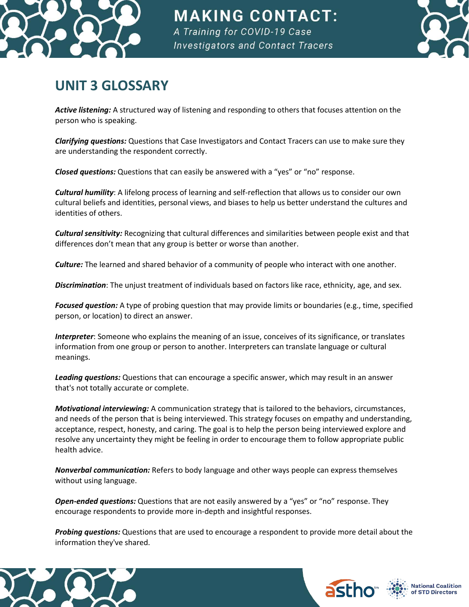

**MAKING CONTACT:** A Training for COVID-19 Case **Investigators and Contact Tracers** 



## **UNIT 3 GLOSSARY**

*Active listening:* A structured way of listening and responding to others that focuses attention on the person who is speaking.

*Clarifying questions:* Questions that Case Investigators and Contact Tracers can use to make sure they are understanding the respondent correctly.

*Closed questions:* Questions that can easily be answered with a "yes" or "no" response.

*Cultural humility*: A lifelong process of learning and self-reflection that allows us to consider our own cultural beliefs and identities, personal views, and biases to help us better understand the cultures and identities of others.

*Cultural sensitivity:* Recognizing that cultural differences and similarities between people exist and that differences don't mean that any group is better or worse than another.

*Culture:* The learned and shared behavior of a community of people who interact with one another.

*Discrimination*: The unjust treatment of individuals based on factors like race, ethnicity, age, and sex.

*Focused question:* A type of probing question that may provide limits or boundaries (e.g., time, specified person, or location) to direct an answer.

*Interpreter*: Someone who explains the meaning of an issue, conceives of its significance, or translates information from one group or person to another. Interpreters can translate language or cultural meanings.

*Leading questions:* Questions that can encourage a specific answer, which may result in an answer that's not totally accurate or complete.

*Motivational interviewing:* A communication strategy that is tailored to the behaviors, circumstances, and needs of the person that is being interviewed. This strategy focuses on empathy and understanding, acceptance, respect, honesty, and caring. The goal is to help the person being interviewed explore and resolve any uncertainty they might be feeling in order to encourage them to follow appropriate public health advice.

*Nonverbal communication:* Refers to body language and other ways people can express themselves without using language.

*Open-ended questions:* Questions that are not easily answered by a "yes" or "no" response. They encourage respondents to provide more in-depth and insightful responses.

*Probing questions:* Questions that are used to encourage a respondent to provide more detail about the information they've shared.